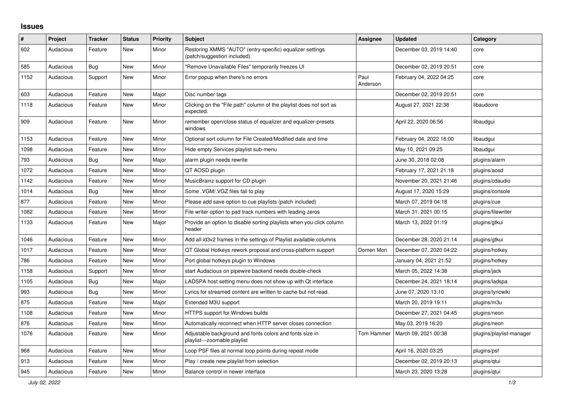## **Issues**

| $\#$ | Project   | <b>Tracker</b> | <b>Status</b> | <b>Priority</b> | <b>Subject</b>                                                                            | <b>Assignee</b>  | <b>Updated</b>          | Category                 |
|------|-----------|----------------|---------------|-----------------|-------------------------------------------------------------------------------------------|------------------|-------------------------|--------------------------|
| 602  | Audacious | Feature        | <b>New</b>    | Minor           | Restoring XMMS "AUTO" (entry-specific) equalizer settings<br>(patch/suggestion included). |                  | December 03, 2019 14:40 | core                     |
| 585  | Audacious | Bug            | <b>New</b>    | Minor           | "Remove Unavailable Files" temporarily freezes UI                                         |                  | December 02, 2019 20:51 | core                     |
| 1152 | Audacious | Support        | New           | Minor           | Error popup when there's no errors                                                        | Paul<br>Anderson | February 04, 2022 04:25 | core                     |
| 603  | Audacious | Feature        | <b>New</b>    | Major           | Disc number tags                                                                          |                  | December 02, 2019 20:51 | core                     |
| 1118 | Audacious | Feature        | <b>New</b>    | Minor           | Clicking on the "File path" column of the playlist does not sort as<br>expected.          |                  | August 27, 2021 22:38   | libaudcore               |
| 909  | Audacious | Feature        | <b>New</b>    | Minor           | remember open/close status of equalizer and equalizer-presets<br>windows                  |                  | April 22, 2020 06:56    | libaudgui                |
| 1153 | Audacious | Feature        | <b>New</b>    | Minor           | Optional sort column for File Created/Modified date and time                              |                  | February 04, 2022 16:00 | libaudgui                |
| 1098 | Audacious | Feature        | <b>New</b>    | Minor           | Hide empty Services playlist sub-menu                                                     |                  | May 10, 2021 09:25      | libaudgui                |
| 793  | Audacious | <b>Bug</b>     | <b>New</b>    | Major           | alarm plugin needs rewrite                                                                |                  | June 30, 2018 02:08     | plugins/alarm            |
| 1072 | Audacious | Feature        | New           | Minor           | QT AOSD plugin                                                                            |                  | February 17, 2021 21:18 | plugins/aosd             |
| 1142 | Audacious | Feature        | <b>New</b>    | Minor           | MusicBrainz support for CD plugin                                                         |                  | November 20, 2021 21:46 | plugins/cdaudio          |
| 1014 | Audacious | Bug            | New           | Minor           | Some .VGM/.VGZ files fail to play                                                         |                  | August 17, 2020 15:29   | plugins/console          |
| 877  | Audacious | Feature        | <b>New</b>    | Minor           | Please add save option to cue playlists (patch included)                                  |                  | March 07, 2019 04:18    | plugins/cue              |
| 1082 | Audacious | Feature        | <b>New</b>    | Minor           | File writer option to pad track numbers with leading zeros                                |                  | March 31, 2021 00:15    | plugins/filewriter       |
| 1133 | Audacious | Feature        | New           | Major           | Provide an option to disable sorting playlists when you click column<br>header            |                  | March 13, 2022 01:19    | plugins/gtkui            |
| 1046 | Audacious | Feature        | <b>New</b>    | Minor           | Add all id3v2 frames in the settings of Playlist available columns                        |                  | December 28, 2020 21:14 | plugins/gtkui            |
| 1017 | Audacious | Feature        | New           | Minor           | QT Global Hotkeys rework proposal and cross-platform support                              | Domen Mori       | December 07, 2020 04:22 | plugins/hotkey           |
| 786  | Audacious | Feature        | <b>New</b>    | Minor           | Port global hotkeys plugin to Windows                                                     |                  | January 04, 2021 21:52  | plugins/hotkey           |
| 1158 | Audacious | Support        | <b>New</b>    | Minor           | start Audacious on pipewire backend needs double-check                                    |                  | March 05, 2022 14:38    | plugins/jack             |
| 1105 | Audacious | Bug            | <b>New</b>    | Major           | LADSPA host setting menu does not show up with Qt interface                               |                  | December 24, 2021 18:14 | plugins/ladspa           |
| 993  | Audacious | <b>Bug</b>     | New           | Minor           | Lyrics for streamed content are written to cache but not read.                            |                  | June 07, 2020 13:10     | plugins/lyricwiki        |
| 875  | Audacious | Feature        | New           | Major           | Extended M3U support                                                                      |                  | March 20, 2019 19:11    | plugins/m3u              |
| 1108 | Audacious | Feature        | New           | Minor           | HTTPS support for Windows builds                                                          |                  | December 27, 2021 04:45 | plugins/neon             |
| 876  | Audacious | Feature        | <b>New</b>    | Minor           | Automatically reconnect when HTTP server closes connection                                |                  | May 03, 2019 16:20      | plugins/neon             |
| 1076 | Audacious | Feature        | <b>New</b>    | Minor           | Adjustable background and fonts colors and fonts size in<br>playlist---zoomable playlist  | Tom Hammer       | March 09, 2021 00:38    | plugins/playlist-manager |
| 968  | Audacious | Feature        | New           | Minor           | Loop PSF files at normal loop points during repeat mode                                   |                  | April 16, 2020 03:25    | plugins/psf              |
| 913  | Audacious | Feature        | <b>New</b>    | Minor           | Play / create new playlist from selection                                                 |                  | December 02, 2019 20:13 | plugins/gtui             |
| 945  | Audacious | Feature        | New           | Minor           | Balance control in newer interface                                                        |                  | March 23, 2020 13:28    | plugins/qtui             |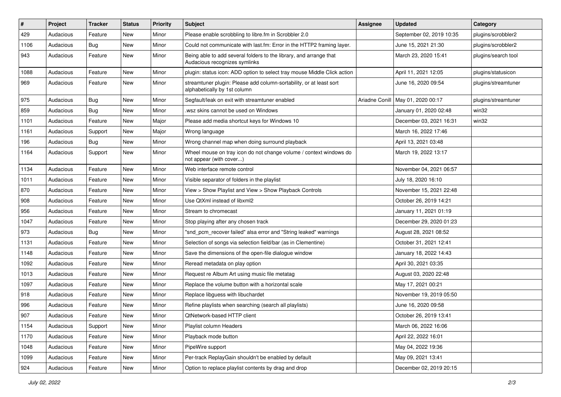| $\#$ | Project   | <b>Tracker</b> | <b>Status</b> | <b>Priority</b> | Subject                                                                                             | <b>Assignee</b> | <b>Updated</b>           | Category            |
|------|-----------|----------------|---------------|-----------------|-----------------------------------------------------------------------------------------------------|-----------------|--------------------------|---------------------|
| 429  | Audacious | Feature        | New           | Minor           | Please enable scrobbling to libre.fm in Scrobbler 2.0                                               |                 | September 02, 2019 10:35 | plugins/scrobbler2  |
| 1106 | Audacious | Bug            | New           | Minor           | Could not communicate with last.fm: Error in the HTTP2 framing layer.                               |                 | June 15, 2021 21:30      | plugins/scrobbler2  |
| 943  | Audacious | Feature        | New           | Minor           | Being able to add several folders to the library, and arrange that<br>Audacious recognizes symlinks |                 | March 23, 2020 15:41     | plugins/search tool |
| 1088 | Audacious | Feature        | <b>New</b>    | Minor           | plugin: status icon: ADD option to select tray mouse Middle Click action                            |                 | April 11, 2021 12:05     | plugins/statusicon  |
| 969  | Audacious | Feature        | New           | Minor           | streamtuner plugin: Please add column-sortability, or at least sort<br>alphabetically by 1st column |                 | June 16, 2020 09:54      | plugins/streamtuner |
| 975  | Audacious | <b>Bug</b>     | New           | Minor           | Segfault/leak on exit with streamtuner enabled                                                      | Ariadne Conill  | May 01, 2020 00:17       | plugins/streamtuner |
| 859  | Audacious | <b>Bug</b>     | New           | Minor           | wsz skins cannot be used on Windows                                                                 |                 | January 01, 2020 02:48   | win32               |
| 1101 | Audacious | Feature        | <b>New</b>    | Major           | Please add media shortcut keys for Windows 10                                                       |                 | December 03, 2021 16:31  | win32               |
| 1161 | Audacious | Support        | New           | Major           | Wrong language                                                                                      |                 | March 16, 2022 17:46     |                     |
| 196  | Audacious | <b>Bug</b>     | New           | Minor           | Wrong channel map when doing surround playback                                                      |                 | April 13, 2021 03:48     |                     |
| 1164 | Audacious | Support        | New           | Minor           | Wheel mouse on tray icon do not change volume / context windows do<br>not appear (with cover)       |                 | March 19, 2022 13:17     |                     |
| 1134 | Audacious | Feature        | <b>New</b>    | Minor           | Web interface remote control                                                                        |                 | November 04, 2021 06:57  |                     |
| 1011 | Audacious | Feature        | New           | Minor           | Visible separator of folders in the playlist                                                        |                 | July 18, 2020 16:10      |                     |
| 870  | Audacious | Feature        | New           | Minor           | View > Show Playlist and View > Show Playback Controls                                              |                 | November 15, 2021 22:48  |                     |
| 908  | Audacious | Feature        | New           | Minor           | Use QtXml instead of libxml2                                                                        |                 | October 26, 2019 14:21   |                     |
| 956  | Audacious | Feature        | New           | Minor           | Stream to chromecast                                                                                |                 | January 11, 2021 01:19   |                     |
| 1047 | Audacious | Feature        | New           | Minor           | Stop playing after any chosen track                                                                 |                 | December 29, 2020 01:23  |                     |
| 973  | Audacious | <b>Bug</b>     | New           | Minor           | "snd_pcm_recover failed" alsa error and "String leaked" warnings                                    |                 | August 28, 2021 08:52    |                     |
| 1131 | Audacious | Feature        | New           | Minor           | Selection of songs via selection field/bar (as in Clementine)                                       |                 | October 31, 2021 12:41   |                     |
| 1148 | Audacious | Feature        | New           | Minor           | Save the dimensions of the open-file dialogue window                                                |                 | January 18, 2022 14:43   |                     |
| 1092 | Audacious | Feature        | New           | Minor           | Reread metadata on play option                                                                      |                 | April 30, 2021 03:35     |                     |
| 1013 | Audacious | Feature        | New           | Minor           | Request re Album Art using music file metatag                                                       |                 | August 03, 2020 22:48    |                     |
| 1097 | Audacious | Feature        | New           | Minor           | Replace the volume button with a horizontal scale                                                   |                 | May 17, 2021 00:21       |                     |
| 918  | Audacious | Feature        | New           | Minor           | Replace libguess with libuchardet                                                                   |                 | November 19, 2019 05:50  |                     |
| 996  | Audacious | Feature        | <b>New</b>    | Minor           | Refine playlists when searching (search all playlists)                                              |                 | June 16, 2020 09:58      |                     |
| 907  | Audacious | Feature        | New           | Minor           | QtNetwork-based HTTP client                                                                         |                 | October 26, 2019 13:41   |                     |
| 1154 | Audacious | Support        | New           | Minor           | Playlist column Headers                                                                             |                 | March 06, 2022 16:06     |                     |
| 1170 | Audacious | Feature        | New           | Minor           | Playback mode button                                                                                |                 | April 22, 2022 16:01     |                     |
| 1048 | Audacious | Feature        | New           | Minor           | PipeWire support                                                                                    |                 | May 04, 2022 19:36       |                     |
| 1099 | Audacious | Feature        | New           | Minor           | Per-track ReplayGain shouldn't be enabled by default                                                |                 | May 09, 2021 13:41       |                     |
| 924  | Audacious | Feature        | New           | Minor           | Option to replace playlist contents by drag and drop                                                |                 | December 02, 2019 20:15  |                     |